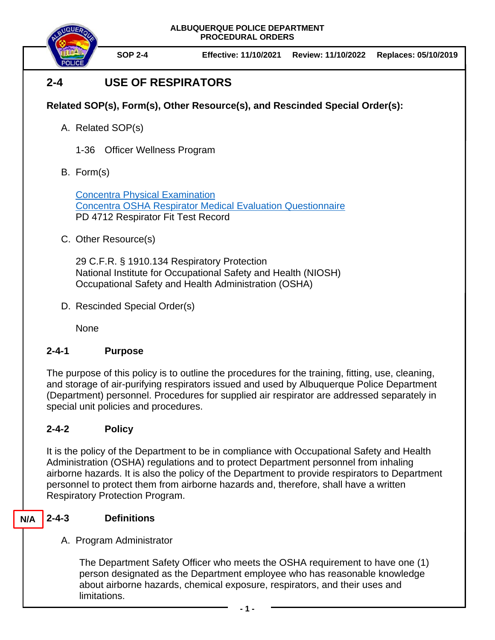

**SOP 2-4 Effective: 11/10/2021 Review: 11/10/2022 Replaces: 05/10/2019**

# **2-4 USE OF RESPIRATORS**

## **Related SOP(s), Form(s), Other Resource(s), and Rescinded Special Order(s):**

- A. Related SOP(s)
	- 1-36 Officer Wellness Program
- B. Form(s)

[Concentra Physical Examination](https://hes32-ctp.trendmicro.com/wis/clicktime/v1/query?url=https%3a%2f%2fwww.concentra.com%2fpatients%2fforms%2dfor%2dyour%2dvisit%2f&umid=e564fca2-6a12-4cfa-b959-da4ec034b160&auth=c5e193b2792d33bbda0d14ee5f909adbb398f028-d414d15de867198ad2b823952ebb87b4c9ac89aa) [Concentra OSHA Respirator Medical Evaluation Questionnaire](https://www.concentra.com/-/media/project/concentra/dotcom/usa/files/forms/osha-respirator-medical-evaluation-questionaire.pdf?t=20200920014935) PD 4712 Respirator Fit Test Record

C. Other Resource(s)

29 C.F.R. § 1910.134 Respiratory Protection National Institute for Occupational Safety and Health (NIOSH) Occupational Safety and Health Administration (OSHA)

D. Rescinded Special Order(s)

None

## **2-4-1 Purpose**

The purpose of this policy is to outline the procedures for the training, fitting, use, cleaning, and storage of air-purifying respirators issued and used by Albuquerque Police Department (Department) personnel. Procedures for supplied air respirator are addressed separately in special unit policies and procedures.

## **2-4-2 Policy**

It is the policy of the Department to be in compliance with Occupational Safety and Health Administration (OSHA) regulations and to protect Department personnel from inhaling airborne hazards. It is also the policy of the Department to provide respirators to Department personnel to protect them from airborne hazards and, therefore, shall have a written Respiratory Protection Program.

#### **2-4-3 Definitions N/A**

## A. Program Administrator

The Department Safety Officer who meets the OSHA requirement to have one (1) person designated as the Department employee who has reasonable knowledge about airborne hazards, chemical exposure, respirators, and their uses and limitations.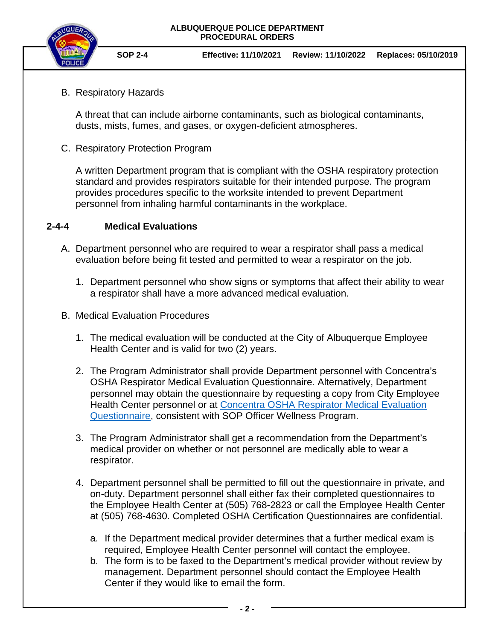

**SOP 2-4 Effective: 11/10/2021 Review: 11/10/2022 Replaces: 05/10/2019**

B. Respiratory Hazards

A threat that can include airborne contaminants, such as biological contaminants, dusts, mists, fumes, and gases, or oxygen-deficient atmospheres.

C. Respiratory Protection Program

A written Department program that is compliant with the OSHA respiratory protection standard and provides respirators suitable for their intended purpose. The program provides procedures specific to the worksite intended to prevent Department personnel from inhaling harmful contaminants in the workplace.

### **2-4-4 Medical Evaluations**

- A. Department personnel who are required to wear a respirator shall pass a medical evaluation before being fit tested and permitted to wear a respirator on the job.
	- 1. Department personnel who show signs or symptoms that affect their ability to wear a respirator shall have a more advanced medical evaluation.
- B. Medical Evaluation Procedures
	- 1. The medical evaluation will be conducted at the City of Albuquerque Employee Health Center and is valid for two (2) years.
	- 2. The Program Administrator shall provide Department personnel with Concentra's OSHA Respirator Medical Evaluation Questionnaire. Alternatively, Department personnel may obtain the questionnaire by requesting a copy from City Employee Health Center personnel or at [Concentra OSHA Respirator Medical Evaluation](https://www.concentra.com/-/media/project/concentra/dotcom/usa/files/forms/osha-respirator-medical-evaluation-questionaire.pdf?t=20200920014935)  [Questionnaire,](https://www.concentra.com/-/media/project/concentra/dotcom/usa/files/forms/osha-respirator-medical-evaluation-questionaire.pdf?t=20200920014935) consistent with SOP Officer Wellness Program.
	- 3. The Program Administrator shall get a recommendation from the Department's medical provider on whether or not personnel are medically able to wear a respirator.
	- 4. Department personnel shall be permitted to fill out the questionnaire in private, and on-duty. Department personnel shall either fax their completed questionnaires to the Employee Health Center at (505) 768-2823 or call the Employee Health Center at (505) 768-4630. Completed OSHA Certification Questionnaires are confidential.
		- a. If the Department medical provider determines that a further medical exam is required, Employee Health Center personnel will contact the employee.
		- b. The form is to be faxed to the Department's medical provider without review by management. Department personnel should contact the Employee Health Center if they would like to email the form.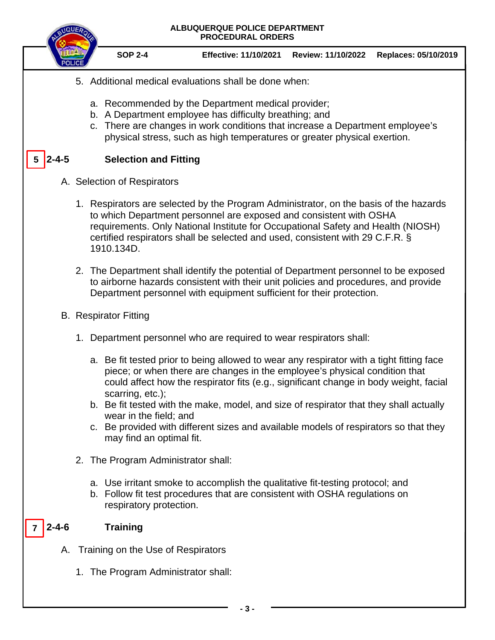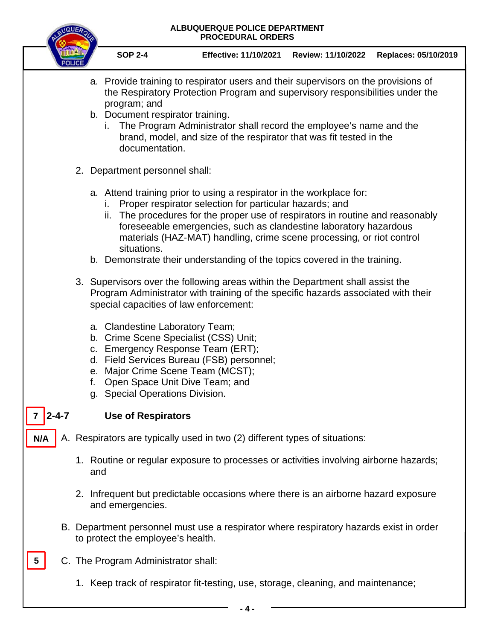

**SOP 2-4 Effective: 11/10/2021 Review: 11/10/2022 Replaces: 05/10/2019**

- a. Provide training to respirator users and their supervisors on the provisions of the Respiratory Protection Program and supervisory responsibilities under the program; and
- b. Document respirator training.
	- i. The Program Administrator shall record the employee's name and the brand, model, and size of the respirator that was fit tested in the documentation.
- 2. Department personnel shall:
	- a. Attend training prior to using a respirator in the workplace for:
		- i. Proper respirator selection for particular hazards; and
		- ii. The procedures for the proper use of respirators in routine and reasonably foreseeable emergencies, such as clandestine laboratory hazardous materials (HAZ-MAT) handling, crime scene processing, or riot control situations.
	- b. Demonstrate their understanding of the topics covered in the training.
- 3. Supervisors over the following areas within the Department shall assist the Program Administrator with training of the specific hazards associated with their special capacities of law enforcement:
	- a. Clandestine Laboratory Team;
	- b. Crime Scene Specialist (CSS) Unit;
	- c. Emergency Response Team (ERT);
	- d. Field Services Bureau (FSB) personnel;
	- e. Major Crime Scene Team (MCST);
	- f. Open Space Unit Dive Team; and
	- g. Special Operations Division.
- $7 \mid 2 4 7$

**5**

## **2-4-7 Use of Respirators**

- A. Respirators are typically used in two (2) different types of situations: **N/A**
	- 1. Routine or regular exposure to processes or activities involving airborne hazards; and
	- 2. Infrequent but predictable occasions where there is an airborne hazard exposure and emergencies.
	- B. Department personnel must use a respirator where respiratory hazards exist in order to protect the employee's health.
	- C. The Program Administrator shall:
		- 1. Keep track of respirator fit-testing, use, storage, cleaning, and maintenance;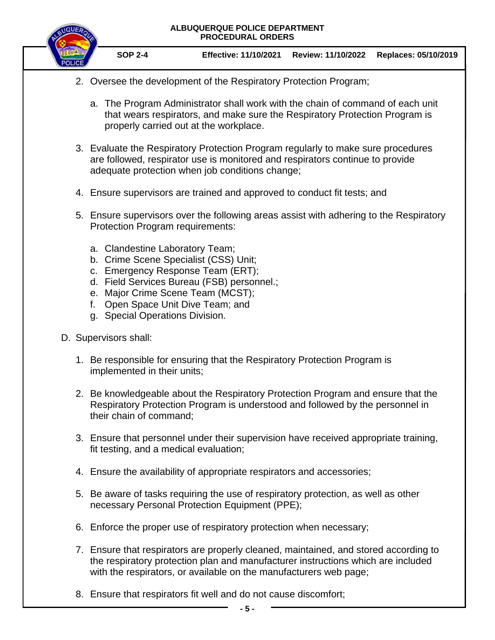

**SOP 2-4 Effective: 11/10/2021 Review: 11/10/2022 Replaces: 05/10/2019**

- 2. Oversee the development of the Respiratory Protection Program;
	- a. The Program Administrator shall work with the chain of command of each unit that wears respirators, and make sure the Respiratory Protection Program is properly carried out at the workplace.
- 3. Evaluate the Respiratory Protection Program regularly to make sure procedures are followed, respirator use is monitored and respirators continue to provide adequate protection when job conditions change;
- 4. Ensure supervisors are trained and approved to conduct fit tests; and
- 5. Ensure supervisors over the following areas assist with adhering to the Respiratory Protection Program requirements:
	- a. Clandestine Laboratory Team;
	- b. Crime Scene Specialist (CSS) Unit;
	- c. Emergency Response Team (ERT);
	- d. Field Services Bureau (FSB) personnel.;
	- e. Major Crime Scene Team (MCST);
	- f. Open Space Unit Dive Team; and
	- g. Special Operations Division.
- D. Supervisors shall:
	- 1. Be responsible for ensuring that the Respiratory Protection Program is implemented in their units;
	- 2. Be knowledgeable about the Respiratory Protection Program and ensure that the Respiratory Protection Program is understood and followed by the personnel in their chain of command;
	- 3. Ensure that personnel under their supervision have received appropriate training, fit testing, and a medical evaluation;
	- 4. Ensure the availability of appropriate respirators and accessories;
	- 5. Be aware of tasks requiring the use of respiratory protection, as well as other necessary Personal Protection Equipment (PPE);
	- 6. Enforce the proper use of respiratory protection when necessary;
	- 7. Ensure that respirators are properly cleaned, maintained, and stored according to the respiratory protection plan and manufacturer instructions which are included with the respirators, or available on the manufacturers web page;
	- 8. Ensure that respirators fit well and do not cause discomfort;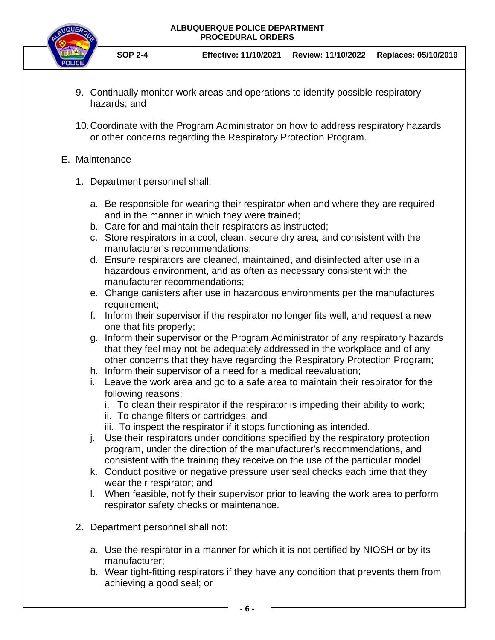

**SOP 2-4 Effective: 11/10/2021 Review: 11/10/2022 Replaces: 05/10/2019**

- 9. Continually monitor work areas and operations to identify possible respiratory hazards; and
- 10.Coordinate with the Program Administrator on how to address respiratory hazards or other concerns regarding the Respiratory Protection Program.

### E. Maintenance

- 1. Department personnel shall:
	- a. Be responsible for wearing their respirator when and where they are required and in the manner in which they were trained;
	- b. Care for and maintain their respirators as instructed;
	- c. Store respirators in a cool, clean, secure dry area, and consistent with the manufacturer's recommendations;
	- d. Ensure respirators are cleaned, maintained, and disinfected after use in a hazardous environment, and as often as necessary consistent with the manufacturer recommendations;
	- e. Change canisters after use in hazardous environments per the manufactures requirement;
	- f. Inform their supervisor if the respirator no longer fits well, and request a new one that fits properly;
	- g. Inform their supervisor or the Program Administrator of any respiratory hazards that they feel may not be adequately addressed in the workplace and of any other concerns that they have regarding the Respiratory Protection Program;
	- h. Inform their supervisor of a need for a medical reevaluation;
	- i. Leave the work area and go to a safe area to maintain their respirator for the following reasons:
		- i. To clean their respirator if the respirator is impeding their ability to work;
		- ii. To change filters or cartridges; and
		- iii. To inspect the respirator if it stops functioning as intended.
	- j. Use their respirators under conditions specified by the respiratory protection program, under the direction of the manufacturer's recommendations, and consistent with the training they receive on the use of the particular model;
	- k. Conduct positive or negative pressure user seal checks each time that they wear their respirator; and
	- l. When feasible, notify their supervisor prior to leaving the work area to perform respirator safety checks or maintenance.
- 2. Department personnel shall not:
	- a. Use the respirator in a manner for which it is not certified by NIOSH or by its manufacturer;
	- b. Wear tight-fitting respirators if they have any condition that prevents them from achieving a good seal; or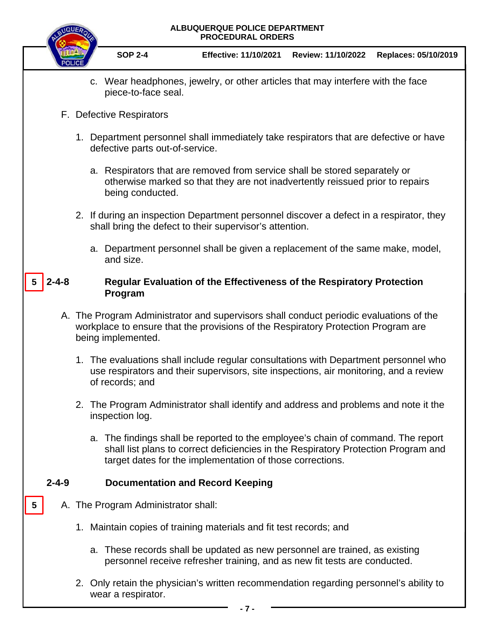|             |                                                                                                                                                                                                   | ALBUQUERQUE POLICE DEPARTMENT<br><b>PROCEDURAL ORDERS</b>                                                                                                                                        |                                                                                                                                                                                                                                     |                    |                      |  |
|-------------|---------------------------------------------------------------------------------------------------------------------------------------------------------------------------------------------------|--------------------------------------------------------------------------------------------------------------------------------------------------------------------------------------------------|-------------------------------------------------------------------------------------------------------------------------------------------------------------------------------------------------------------------------------------|--------------------|----------------------|--|
|             |                                                                                                                                                                                                   | <b>SOP 2-4</b>                                                                                                                                                                                   | <b>Effective: 11/10/2021</b>                                                                                                                                                                                                        | Review: 11/10/2022 | Replaces: 05/10/2019 |  |
|             |                                                                                                                                                                                                   | piece-to-face seal.                                                                                                                                                                              | c. Wear headphones, jewelry, or other articles that may interfere with the face                                                                                                                                                     |                    |                      |  |
|             | F. Defective Respirators                                                                                                                                                                          |                                                                                                                                                                                                  |                                                                                                                                                                                                                                     |                    |                      |  |
|             |                                                                                                                                                                                                   | 1. Department personnel shall immediately take respirators that are defective or have<br>defective parts out-of-service.                                                                         |                                                                                                                                                                                                                                     |                    |                      |  |
|             |                                                                                                                                                                                                   | a. Respirators that are removed from service shall be stored separately or<br>otherwise marked so that they are not inadvertently reissued prior to repairs<br>being conducted.                  |                                                                                                                                                                                                                                     |                    |                      |  |
|             |                                                                                                                                                                                                   | 2. If during an inspection Department personnel discover a defect in a respirator, they<br>shall bring the defect to their supervisor's attention.                                               |                                                                                                                                                                                                                                     |                    |                      |  |
|             |                                                                                                                                                                                                   | and size.                                                                                                                                                                                        | a. Department personnel shall be given a replacement of the same make, model,                                                                                                                                                       |                    |                      |  |
| $2 - 4 - 8$ |                                                                                                                                                                                                   | Program                                                                                                                                                                                          | <b>Regular Evaluation of the Effectiveness of the Respiratory Protection</b>                                                                                                                                                        |                    |                      |  |
|             | A. The Program Administrator and supervisors shall conduct periodic evaluations of the<br>workplace to ensure that the provisions of the Respiratory Protection Program are<br>being implemented. |                                                                                                                                                                                                  |                                                                                                                                                                                                                                     |                    |                      |  |
|             |                                                                                                                                                                                                   | 1. The evaluations shall include regular consultations with Department personnel who<br>use respirators and their supervisors, site inspections, air monitoring, and a review<br>of records; and |                                                                                                                                                                                                                                     |                    |                      |  |
|             |                                                                                                                                                                                                   | inspection log.                                                                                                                                                                                  | 2. The Program Administrator shall identify and address and problems and note it the                                                                                                                                                |                    |                      |  |
|             |                                                                                                                                                                                                   |                                                                                                                                                                                                  | a. The findings shall be reported to the employee's chain of command. The report<br>shall list plans to correct deficiencies in the Respiratory Protection Program and<br>target dates for the implementation of those corrections. |                    |                      |  |
| $2 - 4 - 9$ |                                                                                                                                                                                                   |                                                                                                                                                                                                  | <b>Documentation and Record Keeping</b>                                                                                                                                                                                             |                    |                      |  |
| 5           |                                                                                                                                                                                                   | A. The Program Administrator shall:                                                                                                                                                              |                                                                                                                                                                                                                                     |                    |                      |  |
|             |                                                                                                                                                                                                   |                                                                                                                                                                                                  | 1. Maintain copies of training materials and fit test records; and                                                                                                                                                                  |                    |                      |  |
|             |                                                                                                                                                                                                   |                                                                                                                                                                                                  | a. These records shall be updated as new personnel are trained, as existing<br>personnel receive refresher training, and as new fit tests are conducted.                                                                            |                    |                      |  |
|             |                                                                                                                                                                                                   | wear a respirator.                                                                                                                                                                               | 2. Only retain the physician's written recommendation regarding personnel's ability to<br>- 7 -                                                                                                                                     |                    |                      |  |